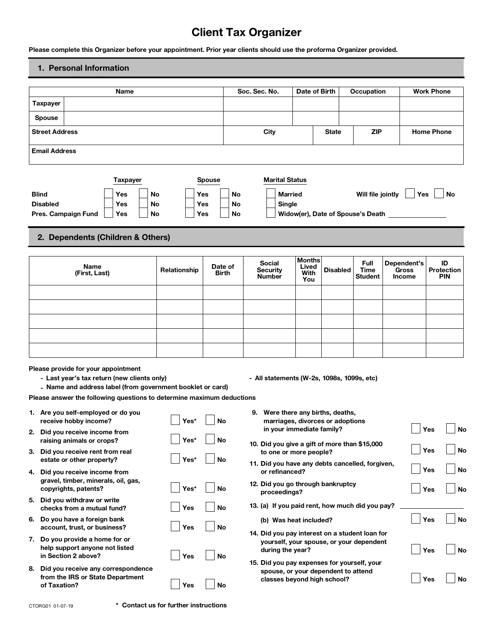# **Client Tax Organizer**

# **1. Personal Information**

|              | <b>Name</b>                                                                                                                                                        |                                                                                                                                                                                                                                                                                                                                                                                                                                                                         |                                                                                                                                                                                                                  |                                                                                                    |                                                                   |                                    |                                                                                                                                                            |                                                                       |                                                                     |                                                                                                                                                  |                                                                                                |                                                                                                                                                           |                                                                                                                     |                                                                                                                                                                                                                                                                                                                                                                                                                                                                      | <b>Work Phone</b>                                                                            |
|--------------|--------------------------------------------------------------------------------------------------------------------------------------------------------------------|-------------------------------------------------------------------------------------------------------------------------------------------------------------------------------------------------------------------------------------------------------------------------------------------------------------------------------------------------------------------------------------------------------------------------------------------------------------------------|------------------------------------------------------------------------------------------------------------------------------------------------------------------------------------------------------------------|----------------------------------------------------------------------------------------------------|-------------------------------------------------------------------|------------------------------------|------------------------------------------------------------------------------------------------------------------------------------------------------------|-----------------------------------------------------------------------|---------------------------------------------------------------------|--------------------------------------------------------------------------------------------------------------------------------------------------|------------------------------------------------------------------------------------------------|-----------------------------------------------------------------------------------------------------------------------------------------------------------|---------------------------------------------------------------------------------------------------------------------|----------------------------------------------------------------------------------------------------------------------------------------------------------------------------------------------------------------------------------------------------------------------------------------------------------------------------------------------------------------------------------------------------------------------------------------------------------------------|----------------------------------------------------------------------------------------------|
|              |                                                                                                                                                                    |                                                                                                                                                                                                                                                                                                                                                                                                                                                                         |                                                                                                                                                                                                                  |                                                                                                    |                                                                   |                                    |                                                                                                                                                            |                                                                       |                                                                     |                                                                                                                                                  |                                                                                                |                                                                                                                                                           |                                                                                                                     |                                                                                                                                                                                                                                                                                                                                                                                                                                                                      |                                                                                              |
|              |                                                                                                                                                                    |                                                                                                                                                                                                                                                                                                                                                                                                                                                                         |                                                                                                                                                                                                                  |                                                                                                    |                                                                   |                                    |                                                                                                                                                            |                                                                       |                                                                     |                                                                                                                                                  |                                                                                                |                                                                                                                                                           |                                                                                                                     |                                                                                                                                                                                                                                                                                                                                                                                                                                                                      |                                                                                              |
|              |                                                                                                                                                                    |                                                                                                                                                                                                                                                                                                                                                                                                                                                                         |                                                                                                                                                                                                                  |                                                                                                    |                                                                   |                                    |                                                                                                                                                            |                                                                       |                                                                     | <b>State</b>                                                                                                                                     |                                                                                                |                                                                                                                                                           |                                                                                                                     |                                                                                                                                                                                                                                                                                                                                                                                                                                                                      | <b>Home Phone</b>                                                                            |
|              |                                                                                                                                                                    |                                                                                                                                                                                                                                                                                                                                                                                                                                                                         |                                                                                                                                                                                                                  |                                                                                                    |                                                                   |                                    |                                                                                                                                                            |                                                                       |                                                                     |                                                                                                                                                  |                                                                                                |                                                                                                                                                           |                                                                                                                     |                                                                                                                                                                                                                                                                                                                                                                                                                                                                      |                                                                                              |
|              |                                                                                                                                                                    |                                                                                                                                                                                                                                                                                                                                                                                                                                                                         |                                                                                                                                                                                                                  |                                                                                                    |                                                                   |                                    |                                                                                                                                                            |                                                                       |                                                                     |                                                                                                                                                  |                                                                                                |                                                                                                                                                           |                                                                                                                     |                                                                                                                                                                                                                                                                                                                                                                                                                                                                      |                                                                                              |
|              |                                                                                                                                                                    |                                                                                                                                                                                                                                                                                                                                                                                                                                                                         |                                                                                                                                                                                                                  |                                                                                                    |                                                                   |                                    |                                                                                                                                                            |                                                                       |                                                                     |                                                                                                                                                  |                                                                                                |                                                                                                                                                           |                                                                                                                     |                                                                                                                                                                                                                                                                                                                                                                                                                                                                      | No                                                                                           |
|              | Yes                                                                                                                                                                |                                                                                                                                                                                                                                                                                                                                                                                                                                                                         |                                                                                                                                                                                                                  |                                                                                                    |                                                                   | No                                 |                                                                                                                                                            |                                                                       |                                                                     |                                                                                                                                                  |                                                                                                |                                                                                                                                                           |                                                                                                                     |                                                                                                                                                                                                                                                                                                                                                                                                                                                                      |                                                                                              |
|              | Yes                                                                                                                                                                |                                                                                                                                                                                                                                                                                                                                                                                                                                                                         |                                                                                                                                                                                                                  |                                                                                                    |                                                                   | No                                 |                                                                                                                                                            |                                                                       |                                                                     |                                                                                                                                                  |                                                                                                |                                                                                                                                                           |                                                                                                                     |                                                                                                                                                                                                                                                                                                                                                                                                                                                                      |                                                                                              |
|              |                                                                                                                                                                    |                                                                                                                                                                                                                                                                                                                                                                                                                                                                         |                                                                                                                                                                                                                  |                                                                                                    |                                                                   |                                    |                                                                                                                                                            |                                                                       |                                                                     |                                                                                                                                                  |                                                                                                |                                                                                                                                                           |                                                                                                                     |                                                                                                                                                                                                                                                                                                                                                                                                                                                                      |                                                                                              |
|              |                                                                                                                                                                    |                                                                                                                                                                                                                                                                                                                                                                                                                                                                         |                                                                                                                                                                                                                  |                                                                                                    |                                                                   |                                    |                                                                                                                                                            |                                                                       |                                                                     |                                                                                                                                                  |                                                                                                |                                                                                                                                                           |                                                                                                                     |                                                                                                                                                                                                                                                                                                                                                                                                                                                                      |                                                                                              |
| <b>Name</b>  |                                                                                                                                                                    |                                                                                                                                                                                                                                                                                                                                                                                                                                                                         |                                                                                                                                                                                                                  |                                                                                                    |                                                                   |                                    |                                                                                                                                                            |                                                                       | Lived<br>With<br>You                                                |                                                                                                                                                  |                                                                                                |                                                                                                                                                           |                                                                                                                     |                                                                                                                                                                                                                                                                                                                                                                                                                                                                      | ID<br><b>Protection</b><br><b>PIN</b>                                                        |
|              |                                                                                                                                                                    |                                                                                                                                                                                                                                                                                                                                                                                                                                                                         |                                                                                                                                                                                                                  |                                                                                                    |                                                                   |                                    |                                                                                                                                                            |                                                                       |                                                                     |                                                                                                                                                  |                                                                                                |                                                                                                                                                           |                                                                                                                     |                                                                                                                                                                                                                                                                                                                                                                                                                                                                      |                                                                                              |
|              |                                                                                                                                                                    |                                                                                                                                                                                                                                                                                                                                                                                                                                                                         |                                                                                                                                                                                                                  |                                                                                                    |                                                                   |                                    |                                                                                                                                                            |                                                                       |                                                                     |                                                                                                                                                  |                                                                                                |                                                                                                                                                           |                                                                                                                     |                                                                                                                                                                                                                                                                                                                                                                                                                                                                      |                                                                                              |
|              |                                                                                                                                                                    |                                                                                                                                                                                                                                                                                                                                                                                                                                                                         |                                                                                                                                                                                                                  |                                                                                                    |                                                                   |                                    |                                                                                                                                                            |                                                                       |                                                                     |                                                                                                                                                  |                                                                                                |                                                                                                                                                           |                                                                                                                     |                                                                                                                                                                                                                                                                                                                                                                                                                                                                      |                                                                                              |
|              |                                                                                                                                                                    |                                                                                                                                                                                                                                                                                                                                                                                                                                                                         |                                                                                                                                                                                                                  |                                                                                                    |                                                                   |                                    |                                                                                                                                                            |                                                                       |                                                                     |                                                                                                                                                  |                                                                                                |                                                                                                                                                           |                                                                                                                     |                                                                                                                                                                                                                                                                                                                                                                                                                                                                      |                                                                                              |
|              |                                                                                                                                                                    |                                                                                                                                                                                                                                                                                                                                                                                                                                                                         |                                                                                                                                                                                                                  |                                                                                                    |                                                                   |                                    |                                                                                                                                                            |                                                                       |                                                                     |                                                                                                                                                  |                                                                                                |                                                                                                                                                           |                                                                                                                     |                                                                                                                                                                                                                                                                                                                                                                                                                                                                      |                                                                                              |
|              |                                                                                                                                                                    |                                                                                                                                                                                                                                                                                                                                                                                                                                                                         |                                                                                                                                                                                                                  |                                                                                                    |                                                                   |                                    |                                                                                                                                                            |                                                                       |                                                                     |                                                                                                                                                  |                                                                                                |                                                                                                                                                           |                                                                                                                     |                                                                                                                                                                                                                                                                                                                                                                                                                                                                      |                                                                                              |
|              |                                                                                                                                                                    |                                                                                                                                                                                                                                                                                                                                                                                                                                                                         |                                                                                                                                                                                                                  |                                                                                                    |                                                                   |                                    |                                                                                                                                                            |                                                                       |                                                                     |                                                                                                                                                  |                                                                                                |                                                                                                                                                           |                                                                                                                     |                                                                                                                                                                                                                                                                                                                                                                                                                                                                      |                                                                                              |
|              |                                                                                                                                                                    |                                                                                                                                                                                                                                                                                                                                                                                                                                                                         |                                                                                                                                                                                                                  |                                                                                                    |                                                                   |                                    | 9.                                                                                                                                                         |                                                                       |                                                                     |                                                                                                                                                  |                                                                                                |                                                                                                                                                           |                                                                                                                     |                                                                                                                                                                                                                                                                                                                                                                                                                                                                      |                                                                                              |
|              |                                                                                                                                                                    |                                                                                                                                                                                                                                                                                                                                                                                                                                                                         |                                                                                                                                                                                                                  |                                                                                                    |                                                                   |                                    |                                                                                                                                                            |                                                                       |                                                                     |                                                                                                                                                  |                                                                                                |                                                                                                                                                           |                                                                                                                     |                                                                                                                                                                                                                                                                                                                                                                                                                                                                      | Yes<br>No                                                                                    |
|              |                                                                                                                                                                    |                                                                                                                                                                                                                                                                                                                                                                                                                                                                         |                                                                                                                                                                                                                  |                                                                                                    |                                                                   |                                    |                                                                                                                                                            |                                                                       |                                                                     |                                                                                                                                                  |                                                                                                |                                                                                                                                                           |                                                                                                                     |                                                                                                                                                                                                                                                                                                                                                                                                                                                                      | Yes<br>No                                                                                    |
|              |                                                                                                                                                                    |                                                                                                                                                                                                                                                                                                                                                                                                                                                                         |                                                                                                                                                                                                                  |                                                                                                    |                                                                   |                                    |                                                                                                                                                            |                                                                       |                                                                     |                                                                                                                                                  |                                                                                                |                                                                                                                                                           |                                                                                                                     |                                                                                                                                                                                                                                                                                                                                                                                                                                                                      | Yes<br>No                                                                                    |
|              |                                                                                                                                                                    |                                                                                                                                                                                                                                                                                                                                                                                                                                                                         |                                                                                                                                                                                                                  |                                                                                                    |                                                                   |                                    |                                                                                                                                                            |                                                                       |                                                                     |                                                                                                                                                  |                                                                                                |                                                                                                                                                           |                                                                                                                     |                                                                                                                                                                                                                                                                                                                                                                                                                                                                      | Yes<br><b>No</b>                                                                             |
|              |                                                                                                                                                                    |                                                                                                                                                                                                                                                                                                                                                                                                                                                                         |                                                                                                                                                                                                                  |                                                                                                    |                                                                   |                                    |                                                                                                                                                            |                                                                       |                                                                     |                                                                                                                                                  |                                                                                                |                                                                                                                                                           |                                                                                                                     |                                                                                                                                                                                                                                                                                                                                                                                                                                                                      |                                                                                              |
|              |                                                                                                                                                                    |                                                                                                                                                                                                                                                                                                                                                                                                                                                                         |                                                                                                                                                                                                                  |                                                                                                    |                                                                   |                                    |                                                                                                                                                            |                                                                       |                                                                     |                                                                                                                                                  |                                                                                                |                                                                                                                                                           |                                                                                                                     |                                                                                                                                                                                                                                                                                                                                                                                                                                                                      | Yes<br><b>No</b>                                                                             |
|              |                                                                                                                                                                    |                                                                                                                                                                                                                                                                                                                                                                                                                                                                         |                                                                                                                                                                                                                  |                                                                                                    |                                                                   |                                    |                                                                                                                                                            |                                                                       |                                                                     |                                                                                                                                                  |                                                                                                |                                                                                                                                                           |                                                                                                                     |                                                                                                                                                                                                                                                                                                                                                                                                                                                                      |                                                                                              |
|              |                                                                                                                                                                    |                                                                                                                                                                                                                                                                                                                                                                                                                                                                         |                                                                                                                                                                                                                  |                                                                                                    |                                                                   |                                    |                                                                                                                                                            |                                                                       |                                                                     |                                                                                                                                                  |                                                                                                |                                                                                                                                                           |                                                                                                                     |                                                                                                                                                                                                                                                                                                                                                                                                                                                                      | Yes<br>No                                                                                    |
|              |                                                                                                                                                                    |                                                                                                                                                                                                                                                                                                                                                                                                                                                                         |                                                                                                                                                                                                                  |                                                                                                    |                                                                   |                                    |                                                                                                                                                            |                                                                       |                                                                     |                                                                                                                                                  |                                                                                                |                                                                                                                                                           |                                                                                                                     |                                                                                                                                                                                                                                                                                                                                                                                                                                                                      |                                                                                              |
| of Taxation? |                                                                                                                                                                    |                                                                                                                                                                                                                                                                                                                                                                                                                                                                         |                                                                                                                                                                                                                  | Yes                                                                                                | No                                                                |                                    |                                                                                                                                                            |                                                                       |                                                                     |                                                                                                                                                  |                                                                                                |                                                                                                                                                           |                                                                                                                     |                                                                                                                                                                                                                                                                                                                                                                                                                                                                      | <b>No</b><br>Yes                                                                             |
|              | <b>Taxpayer</b><br><b>Spouse</b><br><b>Street Address</b><br><b>Email Address</b><br><b>Blind</b><br><b>Disabled</b><br>Pres. Campaign Fund<br>in Section 2 above? | 1. Personal Information<br>Yes<br>(First, Last)<br>receive hobby income?<br>2. Did you receive income from<br>raising animals or crops?<br>3. Did you receive rent from real<br>estate or other property?<br>4. Did you receive income from<br>copyrights, patents?<br>5. Did you withdraw or write<br>checks from a mutual fund?<br>6. Do you have a foreign bank<br>account, trust, or business?<br>7. Do you provide a home for or<br>help support anyone not listed | <b>Taxpayer</b><br>Please provide for your appointment<br>1. Are you self-employed or do you<br>gravel, timber, minerals, oil, gas,<br>8. Did you receive any correspondence<br>from the IRS or State Department | No<br>No<br>No<br>2. Dependents (Children & Others)<br>- Last year's tax return (new clients only) | Relationship<br>Yes*<br>Yes*<br>Yes*<br>Yes*<br>Yes<br>Yes<br>Yes | <b>Spouse</b><br>Yes<br>Yes<br>Yes | <b>No</b><br>Date of<br><b>Birth</b><br>- Name and address label (from government booklet or card)<br>No<br>No<br>No<br>No<br><b>No</b><br>No<br><b>No</b> | Please answer the following questions to determine maximum deductions | Soc. Sec. No.<br>City<br>Social<br><b>Security</b><br><b>Number</b> | <b>Client Tax Organizer</b><br><b>Marital Status</b><br>Married<br>Single<br><b>Months</b><br>or refinanced?<br>proceedings?<br>during the year? | Date of Birth<br>in your immediate family?<br>to one or more people?<br>(b) Was heat included? | <b>Disabled</b><br>Were there any births, deaths,<br>marriages, divorces or adoptions<br>12. Did you go through bankruptcy<br>classes beyond high school? | Full<br>Time<br><b>Student</b><br>- All statements (W-2s, 1098s, 1099s, etc)<br>spouse, or your dependent to attend | Please complete this Organizer before your appointment. Prior year clients should use the proforma Organizer provided.<br>Occupation<br>ZIP<br>Will file jointly<br>10. Did you give a gift of more than \$15,000<br>11. Did you have any debts cancelled, forgiven,<br>13. (a) If you paid rent, how much did you pay?<br>14. Did you pay interest on a student loan for<br>yourself, your spouse, or your dependent<br>15. Did you pay expenses for yourself, your | Yes<br>Widow(er), Date of Spouse's Death ___<br>Dependent's<br><b>Gross</b><br><b>Income</b> |

**CTORG01 01-07-19 \* Contact us for further instructions**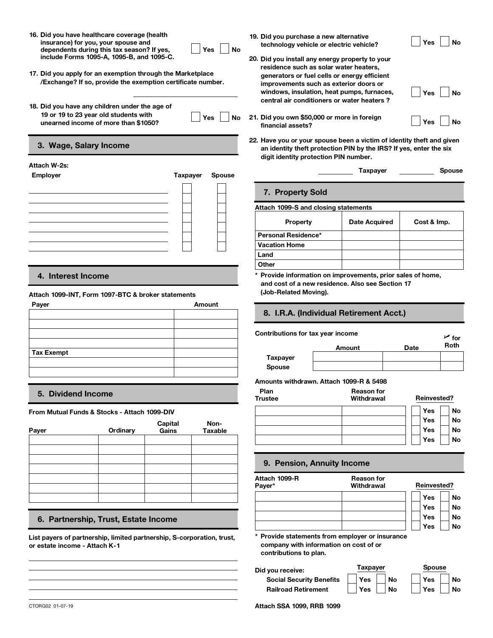**16. Did you have healthcare coverage (health insurance) for you, your spouse and dependents during this tax season? If yes, include Forms 1095-A, 1095-B, and 1095-C. 16. Did you have healthcare coverage (health insurance) for you, your spouse and dependents during this tax season? If yes, include Forms 1095-A, 1095-B, and 1095-C. 20<br><b>17. Did you apply for an exemption through the Mark 16. Did you have healthcare coverage (health<br>insurance) for you, your spouse and<br>dependents during this tax season? If yes,<br>include Forms 1095-A, 1095-B, and 1095-C.<br>17. Did you apply for an exemption through the Market<br>/** 

| Yes $\overline{\phantom{a}}$ | 19. Did you |
|------------------------------|-------------|
| <b>No</b>                    | technold    |

- **/Exchange? If so, provide the exemption certificate number.**
- **19 or 19 to 23 year old students with**

| м<br>÷ |  |
|--------|--|
|        |  |

# **22. 3. Wage, Salary Income**

| Employer | Taxpayer Spouse |  |
|----------|-----------------|--|
|          |                 |  |
|          |                 |  |
|          |                 |  |
|          |                 |  |
|          |                 |  |
|          |                 |  |
|          |                 |  |
|          |                 |  |

# **4. Interest Income**

### **Attach 1099-INT, Form 1097-BTC & broker statements**

| Payer             |                                         |        |             |                    |  |  |
|-------------------|-----------------------------------------|--------|-------------|--------------------|--|--|
|                   | 8. I.R.A. (Individual Retirement Acct.) |        |             |                    |  |  |
|                   | Contributions for tax year income       |        |             | $\overline{r}$ for |  |  |
| <b>Tax Exempt</b> |                                         | Amount | <b>Date</b> | Roth               |  |  |
|                   | <b>Taxpayer</b>                         |        |             |                    |  |  |
|                   | Spouse                                  |        |             |                    |  |  |
|                   |                                         |        |             |                    |  |  |

**From Mutual Funds & Stocks - Attach 1099-DIV**

| Payer | Ordinary | Capital<br>Gains | Non-<br>Taxable |               |
|-------|----------|------------------|-----------------|---------------|
|       |          |                  |                 |               |
|       |          |                  |                 |               |
|       |          |                  |                 |               |
|       |          |                  |                 | Attad<br>Paye |
|       |          |                  |                 |               |

# **6. Partnership, Trust, Estate Income**

**List payers of partnership, limited partnership, S-corporation, trust, or estate income - Attach K-1**

- **19. Did you purchase a new alternative Did you purchase a new alternative<br>technology vehicle or electric vehicle? │ Yes │ No**
- **20. Did you install any energy property to your residence such as solar water heaters, generators or fuel cells or energy efficient improvements such as exterior doors or windows, insulation, heat pumps, furnaces, central air conditioners or water heaters ? unsurance)** for you, your spouse and<br>
dependents during this tax season? If yes,<br>
include Forms 1095-A, 1095-B, and 1095-C.<br>
<br>
Did you install any energy property to your<br>
residence such as solar water heaters,<br>
residenc **Yes** No<br> **Example 19 Yes** No<br>
20. Did you install any energy property to your<br>
residence such as solar water heaters,<br>
generators or fuel cells or energy efficient<br>
umber.<br> **Example 19 Yes** No<br> **Pas** No<br>
21. Did you own \$
	- **financial assets?**
- **Have you or your spouse been a victim of identity theft and given an identity theft protection PIN by the IRS? If yes, enter the six digit identity protection PIN number. Attach W-2s:**<br> **Attach W-2s:**<br> **Employer Call Students with**<br> **Attach W-2s:**<br> **Attach W-2s:**<br> **Employer Employer Employer Employer Employer Employer Employer Call Students and Students with**<br> **Attach W-2s Property Sold Property Same Accord PIN by the IRS?** If yes, enter the six<br> **Property Sold Specify Cost & Imp.**<br>
Property Cost & Imp.

Yes │ No<br>Yes │ No<br>Yes │ No

# **7. Property Sold**

### **Attach 1099-S and closing statements**

| Attach 1099-S and closing statements |                      |             |
|--------------------------------------|----------------------|-------------|
| <b>Property</b>                      | <b>Date Acquired</b> | Cost & Imp. |
| Personal Residence*                  |                      |             |
| <b>Vacation Home</b>                 |                      |             |
| Land                                 |                      |             |
| Other                                |                      |             |

**and cost of a new residence. Also see Section 17 (Job-Related Moving).**

# **8. I.R.A. (Individual Retirement Acct.)**

**Contributions for tax year income**<br>Amount and Date Roth Roth **Spouse Amounts withdrawn. Attach 1099-R & 5498 Plan Reason for**

| 5. Dividend Income |                                            |                |         | Plan<br><b>Trustee</b> | <b>Reason for</b><br>Withdrawal | <b>Reinvested?</b> |           |
|--------------------|--------------------------------------------|----------------|---------|------------------------|---------------------------------|--------------------|-----------|
|                    | om Mutual Funds & Stocks - Attach 1099-DIV |                |         |                        |                                 | Yes                | No        |
|                    |                                            | <b>Capital</b> | Non-    |                        |                                 | Yes                | <b>No</b> |
| ver                | Ordinarv                                   | Gains          | Taxable |                        |                                 | Yes                | <b>No</b> |
|                    |                                            |                |         |                        |                                 | Yes                | No        |
|                    |                                            |                |         |                        |                                 |                    |           |

### **9. Pension, Annuity Income**

**Attach 1099-R Payer\* Reason for Withdrawal Reinvested? Yes Yes Yes Yes No No No No \* Provide statements from employer or insurance**

**company with information on cost of or contributions to plan.**

**Social Security Benefits Railroad Retirement**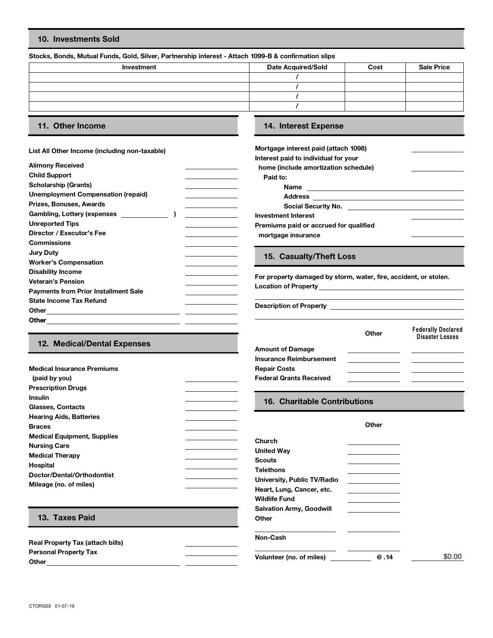# **10. Investments Sold**

### **Stocks, Bonds, Mutual Funds, Gold, Silver, Partnership interest - Attach 1099-B & confirmation slips**

| Investment | <b>Date Acquired/Sold</b> | Cost | <b>Sale Price</b> |
|------------|---------------------------|------|-------------------|
|            |                           |      |                   |
|            |                           |      |                   |
|            |                           |      |                   |
|            |                           |      |                   |
|            |                           |      |                   |

# **11. Other Income 14. Interest Expense**

**Medical Insurance Premiums**

 **(paid by you) Prescription Drugs**

### **List All Other Income (including non-taxable)**

| <b>Alimony Received</b>                     | home (include amortization                                             |
|---------------------------------------------|------------------------------------------------------------------------|
| <b>Child Support</b>                        | Paid to:                                                               |
| <b>Scholarship (Grants)</b>                 | Name                                                                   |
| <b>Unemployment Compensation (repaid)</b>   | <b>Address</b><br>the control of the control of the control of         |
| Prizes, Bonuses, Awards                     | <b>Social Security No</b><br>the control of the control of the control |
| <b>Gambling, Lottery (expenses</b>          | <b>Investment Interest</b>                                             |
| <b>Unreported Tips</b>                      | Premiums paid or accrued f                                             |
| Director / Executor's Fee                   | mortgage insurance                                                     |
| <b>Commissions</b>                          |                                                                        |
| <b>Jury Duty</b>                            |                                                                        |
| <b>Worker's Compensation</b>                | 15. Casualty/Theft L                                                   |
| <b>Disability Income</b>                    |                                                                        |
| <b>Veteran's Pension</b>                    | For property damaged by st                                             |
| <b>Payments from Prior Installment Sale</b> | <b>Location of Property</b>                                            |
| <b>State Income Tax Refund</b>              |                                                                        |
| Other                                       | <b>Description of Property</b>                                         |
| <b>Other</b>                                |                                                                        |
|                                             |                                                                        |

| Mortgage interest paid (attach 1098)   |  |
|----------------------------------------|--|
| Interest paid to individual for your   |  |
| home (include amortization schedule)   |  |
| Paid to:                               |  |
| <b>Name</b>                            |  |
| <b>Address</b>                         |  |
| Social Security No.                    |  |
| Investment Interest                    |  |
| Premiums paid or accrued for qualified |  |
| mortgage insurance                     |  |
|                                        |  |

# **15. Casualty/Theft Loss**

For property damaged by storm, water, fire, accident, or stolen. **Location of Property**

|                             |                                | Other | <b>Federally Declared</b><br><b>Disaster Losses</b> |
|-----------------------------|--------------------------------|-------|-----------------------------------------------------|
| 12. Medical/Dental Expenses | <b>Amount of Damage</b>        |       |                                                     |
|                             | <b>Insurance Reimbursement</b> |       |                                                     |
| edical Insurance Premiums   | <b>Repair Costs</b>            |       |                                                     |
| aid by you)                 | <b>Federal Grants Received</b> |       |                                                     |

| <b>Insulin</b><br>Glasses, Contacts                                                                                                                                                                        | 16. Charitable Contributions                                                                                                                                  |
|------------------------------------------------------------------------------------------------------------------------------------------------------------------------------------------------------------|---------------------------------------------------------------------------------------------------------------------------------------------------------------|
| <b>Hearing Aids, Batteries</b><br><b>Braces</b><br><b>Medical Equipment, Supplies</b><br><b>Nursing Care</b><br><b>Medical Therapy</b><br>Hospital<br>Doctor/Dental/Orthodontist<br>Mileage (no. of miles) | Other<br>Church<br><b>United Way</b><br><b>Scouts</b><br><b>Telethons</b><br>University, Public TV/Radio<br>Heart, Lung, Cancer, etc.<br><b>Wildlife Fund</b> |
| 13. Taxes Paid                                                                                                                                                                                             | <b>Salvation Army, Goodwill</b><br>Other                                                                                                                      |
| <b>Real Property Tax (attach bills)</b>                                                                                                                                                                    | Non-Cash                                                                                                                                                      |

**Personal Property Tax Volunteer (no. of miles) @ .14 Other**

\$0.00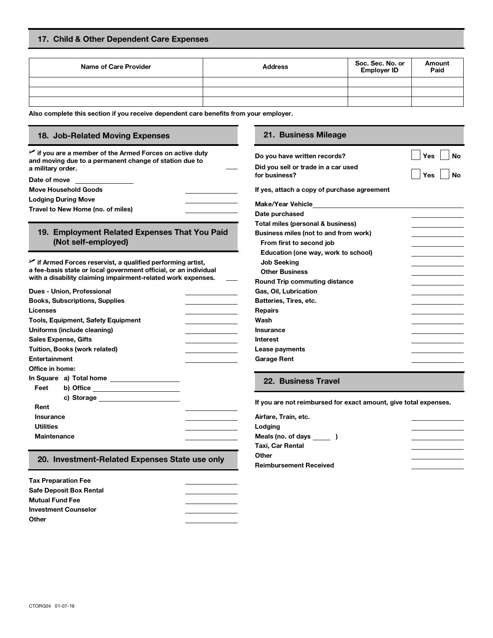| Name of Care Provider | <b>Address</b> | Soc. Sec. No. or<br><b>Employer ID</b> | Amount<br>Paid |
|-----------------------|----------------|----------------------------------------|----------------|
|                       |                |                                        |                |
|                       |                |                                        |                |
|                       |                |                                        |                |

**Also complete this section if you receive dependent care benefits from your employer.**

# **18. Job-Related Moving Expenses 21. Business Mileage**

**U if you are a member of the Armed Forces on active duty and moving due to a permanent change of station due to a military order.**

**Lodging During Move** 

**Travel to New Home (no. of miles)** 

# **19. Employment Related Expenses That You Paid (Not self-employed)**

**U if Armed Forces reservist, a qualified performing artist, a fee-basis state or local government official, or an individual with a disability claiming impairment-related work expenses.**

| Dues - Union, Professional                  | Gas, Oil, Lubrication  |
|---------------------------------------------|------------------------|
| <b>Books, Subscriptions, Supplies</b>       | Batteries, Tires, etc. |
| Licenses                                    | <b>Repairs</b>         |
| <b>Tools, Equipment, Safety Equipment</b>   | Wash                   |
| Uniforms (include cleaning)                 | Insurance              |
| <b>Sales Expense, Gifts</b>                 | Interest               |
| <b>Tuition, Books (work related)</b>        | Lease payments         |
| Entertainment                               | <b>Garage Rent</b>     |
| Office in home:                             |                        |
| In Square a) Total home                     | 22. Business 1         |
| Feet<br>b) Office _________________________ |                        |
|                                             |                        |
| Rent                                        | If you are not reimbu  |
| <b>Insurance</b>                            | Airfare, Train, etc.   |
| <b>Utilities</b>                            | Lodging                |
| <b>Maintenance</b>                          | Meals (no. of days     |
|                                             | .                      |

### **20. Investment-Related Expenses State use only**

| <b>Tax Preparation Fee</b>     |  |
|--------------------------------|--|
| <b>Safe Deposit Box Rental</b> |  |
| <b>Mutual Fund Fee</b>         |  |
| <b>Investment Counselor</b>    |  |
| Other                          |  |

| $\blacktriangleright$ if you are a member of the Armed Forces on active duty<br>and moving due to a permanent change of station due to | Do you have written records?        | ี Yes            | <b>No</b> |
|----------------------------------------------------------------------------------------------------------------------------------------|-------------------------------------|------------------|-----------|
| a militarv order.                                                                                                                      | Did you sell or trade in a car used | $^{\dagger}$ Yes |           |
| Date of move                                                                                                                           | for business?                       |                  | <b>No</b> |

**Move Household Goods If yes, attach a copy of purchase agreement**

| Make/Year Vehicle                     |  |
|---------------------------------------|--|
| Date purchased                        |  |
| Total miles (personal & business)     |  |
| Business miles (not to and from work) |  |
| From first to second job              |  |
| Education (one way, work to school)   |  |
| <b>Job Seeking</b>                    |  |
| <b>Other Business</b>                 |  |
| Round Trip commuting distance         |  |
| Gas, Oil, Lubrication                 |  |
| Batteries, Tires, etc.                |  |
| Repairs                               |  |
| Wash                                  |  |
| Insurance                             |  |
| Interest                              |  |
| Lease payments                        |  |
| Garage Rent                           |  |
|                                       |  |

**No**

# **Feet 22. Business Travel**

**If you are not reimbursed for exact amount, give total expenses.**

| Airfare, Train, etc.          |  |
|-------------------------------|--|
| Lodging                       |  |
| Meals (no. of days )          |  |
| Taxi, Car Rental              |  |
| Other                         |  |
| <b>Reimbursement Received</b> |  |
|                               |  |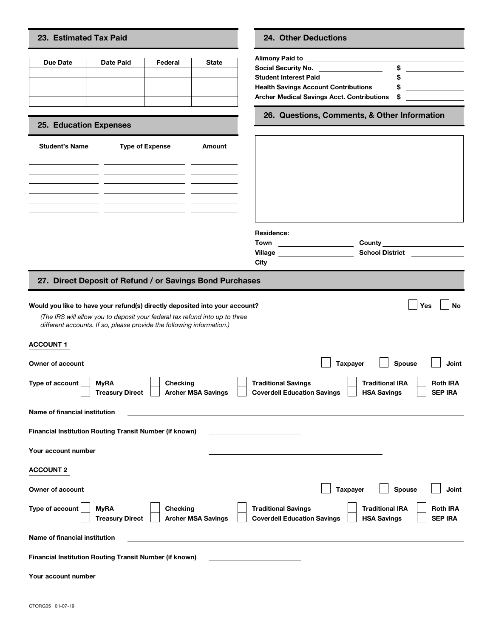# **23. Estimated Tax Paid 24. Other Deductions**

| 23. Estimated Tax Paid                                 |                  |                        |              | <b>24. Other Deductions</b>                                                                                                                           |
|--------------------------------------------------------|------------------|------------------------|--------------|-------------------------------------------------------------------------------------------------------------------------------------------------------|
| Due Date                                               | <b>Date Paid</b> | Federal                | <b>State</b> | Alimony Paid to<br>Social Security No.<br><b>Student Interest Paid</b><br><b>Health Savings Account Contri</b><br><b>Archer Medical Savings Acct.</b> |
| <b>25. Education Expenses</b><br><b>Student's Name</b> |                  | <b>Type of Expense</b> | Amount       | 26. Questions, Comm                                                                                                                                   |

# **25. Education Expenses**

| <b>Student's Name</b>                                     | <b>Type of Expense</b> | Amount |
|-----------------------------------------------------------|------------------------|--------|
|                                                           |                        |        |
| <u> 1989 - Johann Barbara, martxa a shekara 1980 - An</u> |                        |        |
|                                                           |                        |        |
|                                                           |                        |        |
|                                                           |                        |        |
|                                                           |                        |        |

| Social Security No.                         | s |  |
|---------------------------------------------|---|--|
| Student Interest Paid                       |   |  |
| <b>Health Savings Account Contributions</b> |   |  |
| Archer Medical Savings Acct. Contributions  | S |  |

**26. Questions, Comments, & Other Information**

| <b>Student's Name</b>   | <b>Type of Expense</b>                                                                                                                                                                                                              | Amount |                                             |                 |                                                                                        |
|-------------------------|-------------------------------------------------------------------------------------------------------------------------------------------------------------------------------------------------------------------------------------|--------|---------------------------------------------|-----------------|----------------------------------------------------------------------------------------|
|                         |                                                                                                                                                                                                                                     |        | Residence:<br>Village _____________________ |                 | <b>County County County County</b><br><b>School District Communist School District</b> |
|                         | 27. Direct Deposit of Refund / or Savings Bond Purchases                                                                                                                                                                            |        |                                             |                 |                                                                                        |
|                         | Would you like to have your refund(s) directly deposited into your account?<br>(The IRS will allow you to deposit your federal tax refund into up to three<br>different accounts. If so, please provide the following information.) |        |                                             |                 | Yes<br><b>No</b>                                                                       |
| <b>ACCOUNT 1</b>        |                                                                                                                                                                                                                                     |        |                                             |                 |                                                                                        |
| <b>Owner of account</b> |                                                                                                                                                                                                                                     |        |                                             | <b>Taxpayer</b> | <b>Spouse</b><br>Joint                                                                 |

# **27. Direct Deposit of Refund / or Savings Bond Purchases**

| would you like to have your relations) all ecuy deposited lifts your account:                                                                        | ∟∟⊥पञ<br>ப™                                                                                                             |
|------------------------------------------------------------------------------------------------------------------------------------------------------|-------------------------------------------------------------------------------------------------------------------------|
| (The IRS will allow you to deposit your federal tax refund into up to three<br>different accounts. If so, please provide the following information.) |                                                                                                                         |
| <b>ACCOUNT 1</b>                                                                                                                                     |                                                                                                                         |
| <b>Owner of account</b>                                                                                                                              | <b>Taxpayer</b><br><b>Spouse</b><br>Joint                                                                               |
| Type of account<br><b>Traditional Savings</b><br><b>MyRA</b><br>Checking<br><b>Archer MSA Savings</b><br><b>Treasury Direct</b>                      | <b>Traditional IRA</b><br><b>Roth IRA</b><br><b>Coverdell Education Savings</b><br><b>SEP IRA</b><br><b>HSA Savings</b> |
| Name of financial institution                                                                                                                        |                                                                                                                         |
| <b>Financial Institution Routing Transit Number (if known)</b>                                                                                       |                                                                                                                         |
| Your account number                                                                                                                                  |                                                                                                                         |
| <b>ACCOUNT 2</b>                                                                                                                                     |                                                                                                                         |
| Owner of account                                                                                                                                     | <b>Taxpayer</b><br><b>Spouse</b><br>Joint                                                                               |
| Type of account<br><b>Traditional Savings</b><br><b>MyRA</b><br><b>Checking</b><br><b>Archer MSA Savings</b><br><b>Treasury Direct</b>               | <b>Traditional IRA</b><br><b>Roth IRA</b><br><b>Coverdell Education Savings</b><br><b>SEP IRA</b><br><b>HSA Savings</b> |
| Name of financial institution                                                                                                                        |                                                                                                                         |
| <b>Financial Institution Routing Transit Number (if known)</b>                                                                                       |                                                                                                                         |
| Your account number                                                                                                                                  |                                                                                                                         |